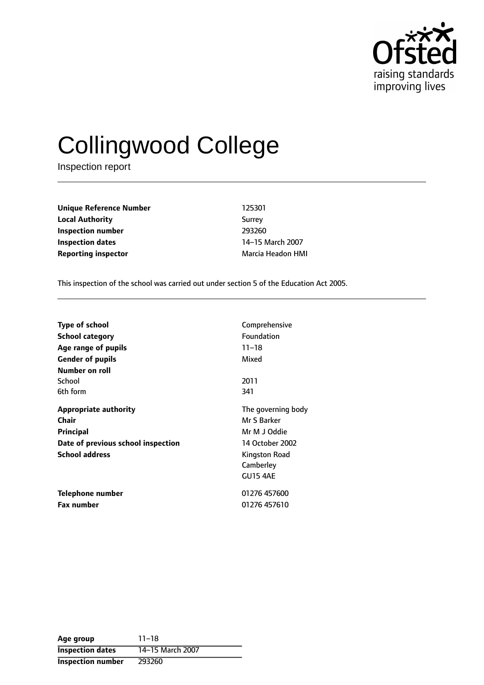

# Collingwood College

Inspection report

**Unique Reference Number** 125301 **Local Authority** Surrey **Inspection number** 293260 **Inspection dates** 14-15 March 2007 **Reporting inspector** Marcia Headon HMI

This inspection of the school was carried out under section 5 of the Education Act 2005.

| <b>Type of school</b>              | Comprehensive      |
|------------------------------------|--------------------|
| School category                    | <b>Foundation</b>  |
| Age range of pupils                | $11 - 18$          |
| <b>Gender of pupils</b>            | Mixed              |
| Number on roll                     |                    |
| School                             | 2011               |
| 6th form                           | 341                |
| Appropriate authority              | The governing body |
| Chair                              | Mr S Barker        |
| <b>Principal</b>                   | Mr M J Oddie       |
| Date of previous school inspection | 14 October 2002    |
| <b>School address</b>              | Kingston Road      |
|                                    | Camberley          |
|                                    | <b>GU15 4AE</b>    |
| Telephone number                   | 01276 457600       |
| <b>Fax number</b>                  | 01276 457610       |

| Age group               | $11 - 18$        |
|-------------------------|------------------|
| <b>Inspection dates</b> | 14-15 March 2007 |
| Inspection number       | 293260           |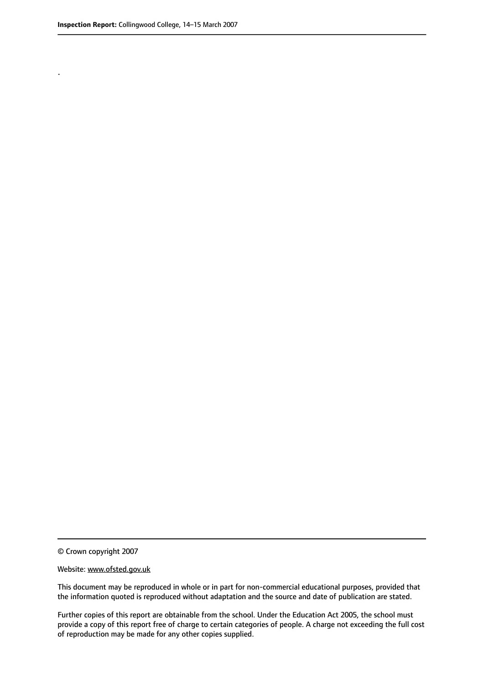.

© Crown copyright 2007

#### Website: www.ofsted.gov.uk

This document may be reproduced in whole or in part for non-commercial educational purposes, provided that the information quoted is reproduced without adaptation and the source and date of publication are stated.

Further copies of this report are obtainable from the school. Under the Education Act 2005, the school must provide a copy of this report free of charge to certain categories of people. A charge not exceeding the full cost of reproduction may be made for any other copies supplied.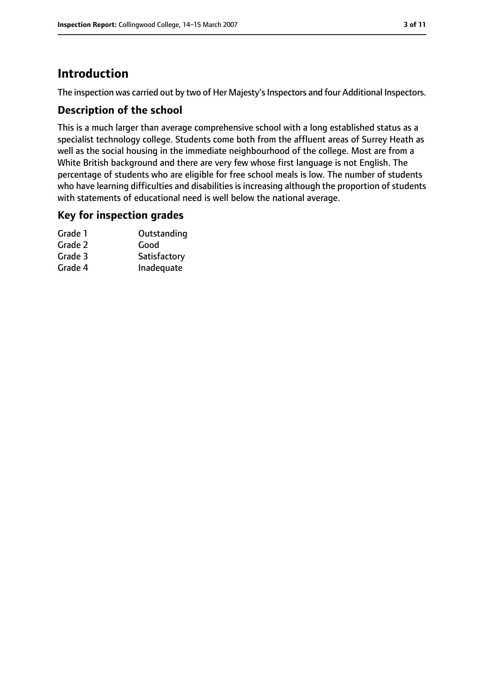# **Introduction**

The inspection was carried out by two of Her Majesty's Inspectors and four Additional Inspectors.

# **Description of the school**

This is a much larger than average comprehensive school with a long established status as a specialist technology college. Students come both from the affluent areas of Surrey Heath as well as the social housing in the immediate neighbourhood of the college. Most are from a White British background and there are very few whose first language is not English. The percentage of students who are eligible for free school meals is low. The number of students who have learning difficulties and disabilities is increasing although the proportion of students with statements of educational need is well below the national average.

## **Key for inspection grades**

| Grade 1 | Outstanding  |
|---------|--------------|
| Grade 2 | Good         |
| Grade 3 | Satisfactory |
| Grade 4 | Inadequate   |
|         |              |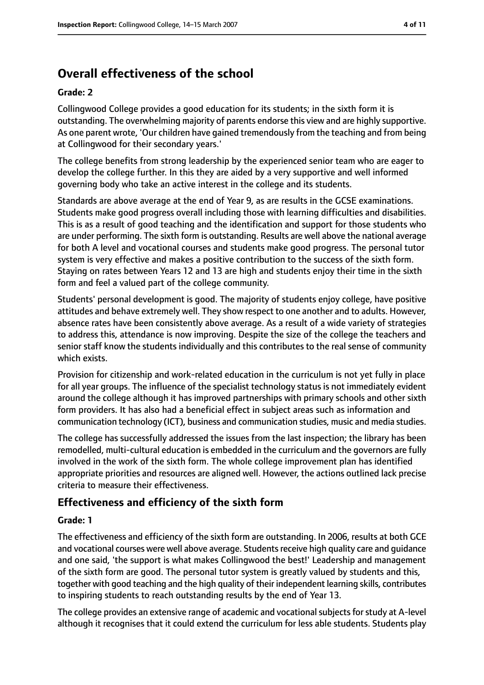# **Overall effectiveness of the school**

#### **Grade: 2**

Collingwood College provides a good education for its students; in the sixth form it is outstanding. The overwhelming majority of parents endorse this view and are highly supportive. As one parent wrote, 'Our children have gained tremendously from the teaching and from being at Collingwood for their secondary years.'

The college benefits from strong leadership by the experienced senior team who are eager to develop the college further. In this they are aided by a very supportive and well informed governing body who take an active interest in the college and its students.

Standards are above average at the end of Year 9, as are results in the GCSE examinations. Students make good progress overall including those with learning difficulties and disabilities. This is as a result of good teaching and the identification and support for those students who are under performing. The sixth form is outstanding. Results are well above the national average for both A level and vocational courses and students make good progress. The personal tutor system is very effective and makes a positive contribution to the success of the sixth form. Staying on rates between Years 12 and 13 are high and students enjoy their time in the sixth form and feel a valued part of the college community.

Students' personal development is good. The majority of students enjoy college, have positive attitudes and behave extremely well. They show respect to one another and to adults. However, absence rates have been consistently above average. As a result of a wide variety of strategies to address this, attendance is now improving. Despite the size of the college the teachers and senior staff know the students individually and this contributes to the real sense of community which exists.

Provision for citizenship and work-related education in the curriculum is not yet fully in place for all year groups. The influence of the specialist technology status is not immediately evident around the college although it has improved partnerships with primary schools and other sixth form providers. It has also had a beneficial effect in subject areas such as information and communication technology (ICT), business and communication studies, music and media studies.

The college has successfully addressed the issues from the last inspection; the library has been remodelled, multi-cultural education is embedded in the curriculum and the governors are fully involved in the work of the sixth form. The whole college improvement plan has identified appropriate priorities and resources are aligned well. However, the actions outlined lack precise criteria to measure their effectiveness.

# **Effectiveness and efficiency of the sixth form**

## **Grade: 1**

The effectiveness and efficiency of the sixth form are outstanding. In 2006, results at both GCE and vocational courses were well above average. Students receive high quality care and quidance and one said, 'the support is what makes Collingwood the best!' Leadership and management of the sixth form are good. The personal tutor system is greatly valued by students and this, together with good teaching and the high quality of their independent learning skills, contributes to inspiring students to reach outstanding results by the end of Year 13.

The college provides an extensive range of academic and vocational subjects for study at A-level although it recognises that it could extend the curriculum for less able students. Students play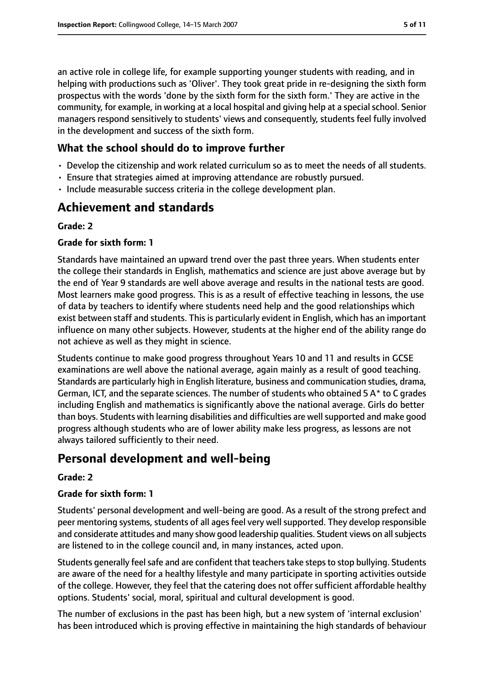an active role in college life, for example supporting younger students with reading, and in helping with productions such as 'Oliver'. They took great pride in re-designing the sixth form prospectus with the words 'done by the sixth form for the sixth form.' They are active in the community, for example, in working at a local hospital and giving help at a special school. Senior managers respond sensitively to students' views and consequently, students feel fully involved in the development and success of the sixth form.

# **What the school should do to improve further**

- Develop the citizenship and work related curriculum so as to meet the needs of all students.
- Ensure that strategies aimed at improving attendance are robustly pursued.
- Include measurable success criteria in the college development plan.

# **Achievement and standards**

## **Grade: 2**

## **Grade for sixth form: 1**

Standards have maintained an upward trend over the past three years. When students enter the college their standards in English, mathematics and science are just above average but by the end of Year 9 standards are well above average and results in the national tests are good. Most learners make good progress. This is as a result of effective teaching in lessons, the use of data by teachers to identify where students need help and the good relationships which exist between staff and students. This is particularly evident in English, which has an important influence on many other subjects. However, students at the higher end of the ability range do not achieve as well as they might in science.

Students continue to make good progress throughout Years 10 and 11 and results in GCSE examinations are well above the national average, again mainly as a result of good teaching. Standards are particularly high in English literature, business and communication studies, drama, German, ICT, and the separate sciences. The number of students who obtained 5 A\* to C grades including English and mathematics is significantly above the national average. Girls do better than boys. Students with learning disabilities and difficulties are well supported and make good progress although students who are of lower ability make less progress, as lessons are not always tailored sufficiently to their need.

# **Personal development and well-being**

## **Grade: 2**

## **Grade for sixth form: 1**

Students' personal development and well-being are good. As a result of the strong prefect and peer mentoring systems, students of all ages feel very well supported. They develop responsible and considerate attitudes and many show good leadership qualities. Student views on all subjects are listened to in the college council and, in many instances, acted upon.

Students generally feel safe and are confident that teachers take steps to stop bullying. Students are aware of the need for a healthy lifestyle and many participate in sporting activities outside of the college. However, they feel that the catering does not offer sufficient affordable healthy options. Students' social, moral, spiritual and cultural development is good.

The number of exclusions in the past has been high, but a new system of 'internal exclusion' has been introduced which is proving effective in maintaining the high standards of behaviour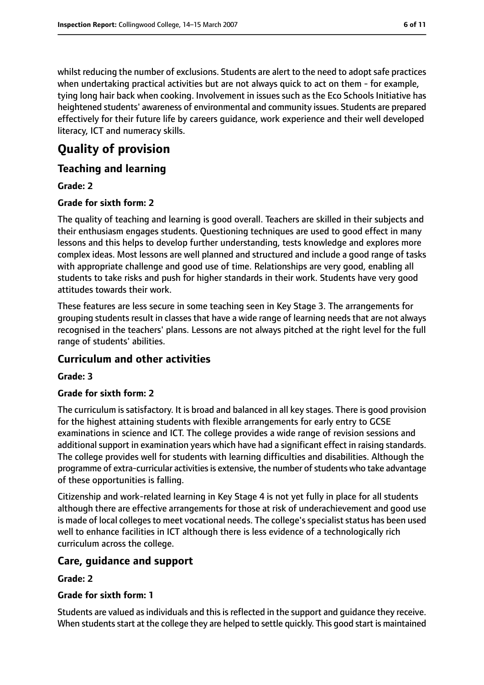whilst reducing the number of exclusions. Students are alert to the need to adopt safe practices when undertaking practical activities but are not always quick to act on them - for example, tying long hair back when cooking. Involvement in issues such as the Eco Schools Initiative has heightened students' awareness of environmental and community issues. Students are prepared effectively for their future life by careers guidance, work experience and their well developed literacy, ICT and numeracy skills.

# **Quality of provision**

# **Teaching and learning**

## **Grade: 2**

## **Grade for sixth form: 2**

The quality of teaching and learning is good overall. Teachers are skilled in their subjects and their enthusiasm engages students. Questioning techniques are used to good effect in many lessons and this helps to develop further understanding, tests knowledge and explores more complex ideas. Most lessons are well planned and structured and include a good range of tasks with appropriate challenge and good use of time. Relationships are very good, enabling all students to take risks and push for higher standards in their work. Students have very good attitudes towards their work.

These features are less secure in some teaching seen in Key Stage 3. The arrangements for grouping students result in classes that have a wide range of learning needs that are not always recognised in the teachers' plans. Lessons are not always pitched at the right level for the full range of students' abilities.

## **Curriculum and other activities**

## **Grade: 3**

## **Grade for sixth form: 2**

The curriculum is satisfactory. It is broad and balanced in all key stages. There is good provision for the highest attaining students with flexible arrangements for early entry to GCSE examinations in science and ICT. The college provides a wide range of revision sessions and additional support in examination years which have had a significant effect in raising standards. The college provides well for students with learning difficulties and disabilities. Although the programme of extra-curricular activities is extensive, the number of students who take advantage of these opportunities is falling.

Citizenship and work-related learning in Key Stage 4 is not yet fully in place for all students although there are effective arrangements for those at risk of underachievement and good use is made of local colleges to meet vocational needs. The college's specialist status has been used well to enhance facilities in ICT although there is less evidence of a technologically rich curriculum across the college.

## **Care, guidance and support**

## **Grade: 2**

## **Grade for sixth form: 1**

Students are valued as individuals and this is reflected in the support and guidance they receive. When students start at the college they are helped to settle quickly. This good start is maintained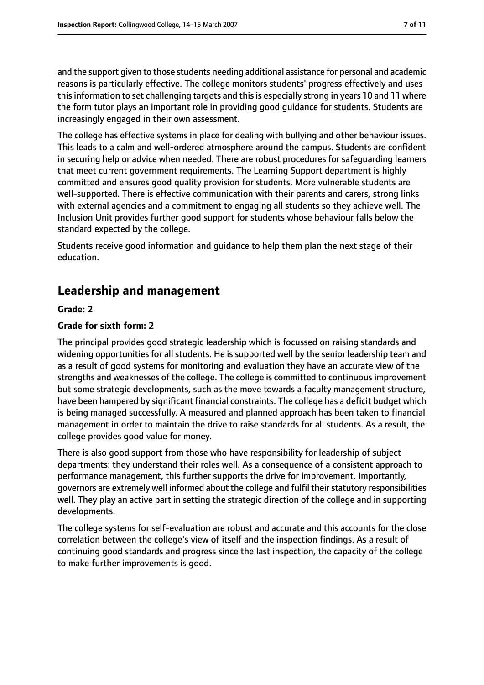and the support given to those students needing additional assistance for personal and academic reasons is particularly effective. The college monitors students' progress effectively and uses this information to set challenging targets and this is especially strong in years 10 and 11 where the form tutor plays an important role in providing good guidance for students. Students are increasingly engaged in their own assessment.

The college has effective systems in place for dealing with bullying and other behaviour issues. This leads to a calm and well-ordered atmosphere around the campus. Students are confident in securing help or advice when needed. There are robust procedures for safeguarding learners that meet current government requirements. The Learning Support department is highly committed and ensures good quality provision for students. More vulnerable students are well-supported. There is effective communication with their parents and carers, strong links with external agencies and a commitment to engaging all students so they achieve well. The Inclusion Unit provides further good support for students whose behaviour falls below the standard expected by the college.

Students receive good information and guidance to help them plan the next stage of their education.

# **Leadership and management**

#### **Grade: 2**

#### **Grade for sixth form: 2**

The principal provides good strategic leadership which is focussed on raising standards and widening opportunities for all students. He is supported well by the senior leadership team and as a result of good systems for monitoring and evaluation they have an accurate view of the strengths and weaknesses of the college. The college is committed to continuous improvement but some strategic developments, such as the move towards a faculty management structure, have been hampered by significant financial constraints. The college has a deficit budget which is being managed successfully. A measured and planned approach has been taken to financial management in order to maintain the drive to raise standards for all students. As a result, the college provides good value for money.

There is also good support from those who have responsibility for leadership of subject departments: they understand their roles well. As a consequence of a consistent approach to performance management, this further supports the drive for improvement. Importantly, governors are extremely well informed about the college and fulfil their statutory responsibilities well. They play an active part in setting the strategic direction of the college and in supporting developments.

The college systems for self-evaluation are robust and accurate and this accounts for the close correlation between the college's view of itself and the inspection findings. As a result of continuing good standards and progress since the last inspection, the capacity of the college to make further improvements is good.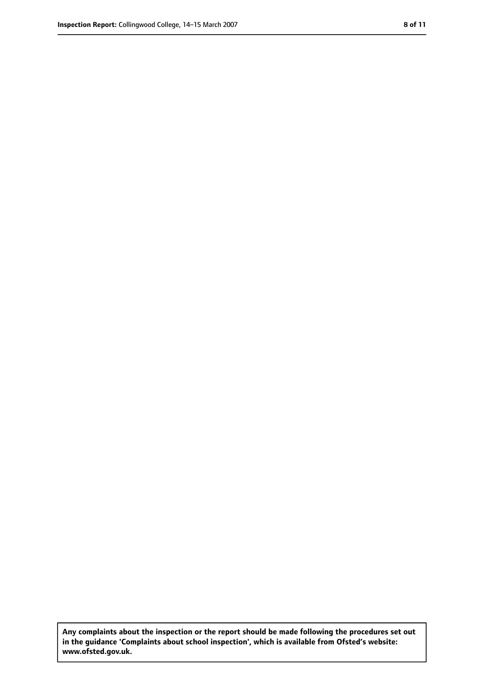**Any complaints about the inspection or the report should be made following the procedures set out in the guidance 'Complaints about school inspection', which is available from Ofsted's website: www.ofsted.gov.uk.**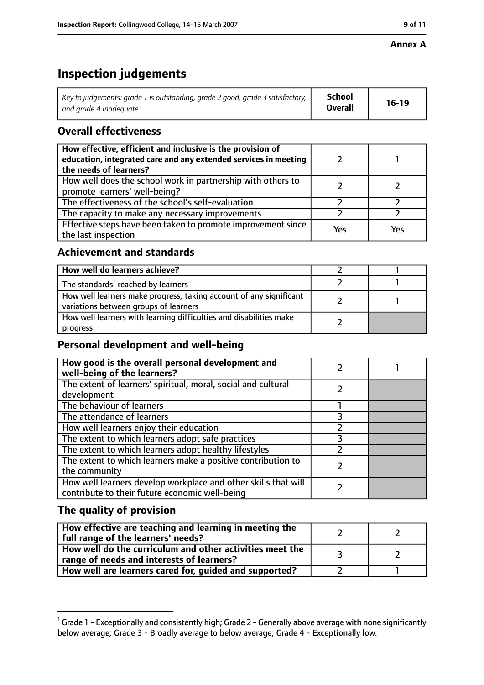#### **Annex A**

# **Inspection judgements**

| Key to judgements: grade 1 is outstanding, grade 2 good, grade 3 satisfactory, $\vert$ | School         | $16-19$ |
|----------------------------------------------------------------------------------------|----------------|---------|
| and arade 4 inadeauate                                                                 | <b>Overall</b> |         |

# **Overall effectiveness**

| How effective, efficient and inclusive is the provision of<br>education, integrated care and any extended services in meeting<br>the needs of learners? |     |     |
|---------------------------------------------------------------------------------------------------------------------------------------------------------|-----|-----|
| How well does the school work in partnership with others to<br>promote learners' well-being?                                                            |     |     |
| The effectiveness of the school's self-evaluation                                                                                                       |     |     |
| The capacity to make any necessary improvements                                                                                                         |     |     |
| Effective steps have been taken to promote improvement since<br>the last inspection                                                                     | Yes | Yes |

# **Achievement and standards**

| How well do learners achieve?                                                                               |  |
|-------------------------------------------------------------------------------------------------------------|--|
| The standards <sup>1</sup> reached by learners                                                              |  |
| How well learners make progress, taking account of any significant<br>variations between groups of learners |  |
| How well learners with learning difficulties and disabilities make<br>progress                              |  |

# **Personal development and well-being**

| How good is the overall personal development and<br>well-being of the learners?                                  |  |
|------------------------------------------------------------------------------------------------------------------|--|
| The extent of learners' spiritual, moral, social and cultural<br>development                                     |  |
| The behaviour of learners                                                                                        |  |
| The attendance of learners                                                                                       |  |
| How well learners enjoy their education                                                                          |  |
| The extent to which learners adopt safe practices                                                                |  |
| The extent to which learners adopt healthy lifestyles                                                            |  |
| The extent to which learners make a positive contribution to<br>the community                                    |  |
| How well learners develop workplace and other skills that will<br>contribute to their future economic well-being |  |

# **The quality of provision**

| How effective are teaching and learning in meeting the<br>full range of the learners' needs?          |  |
|-------------------------------------------------------------------------------------------------------|--|
| How well do the curriculum and other activities meet the<br>range of needs and interests of learners? |  |
| How well are learners cared for, guided and supported?                                                |  |

 $^1$  Grade 1 - Exceptionally and consistently high; Grade 2 - Generally above average with none significantly below average; Grade 3 - Broadly average to below average; Grade 4 - Exceptionally low.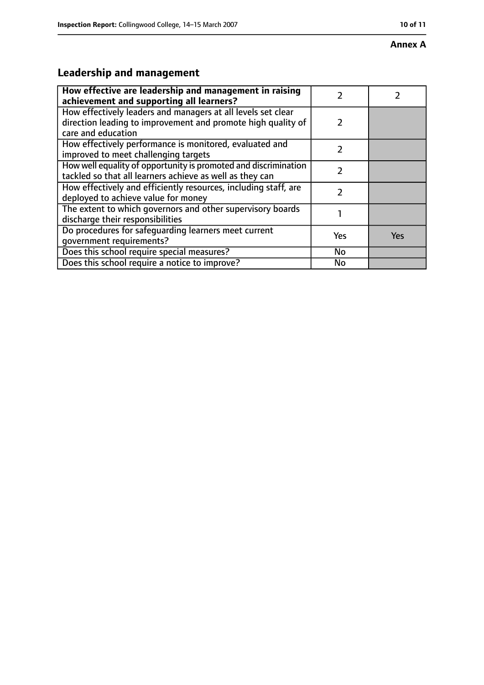#### **Annex A**

# **Leadership and management**

| How effective are leadership and management in raising<br>achievement and supporting all learners?                                                 |               |     |
|----------------------------------------------------------------------------------------------------------------------------------------------------|---------------|-----|
| How effectively leaders and managers at all levels set clear<br>direction leading to improvement and promote high quality of<br>care and education | $\mathcal{P}$ |     |
| How effectively performance is monitored, evaluated and<br>improved to meet challenging targets                                                    | $\mathcal{P}$ |     |
| How well equality of opportunity is promoted and discrimination<br>tackled so that all learners achieve as well as they can                        | $\mathcal{P}$ |     |
| How effectively and efficiently resources, including staff, are<br>deployed to achieve value for money                                             |               |     |
| The extent to which governors and other supervisory boards<br>discharge their responsibilities                                                     |               |     |
| Do procedures for safequarding learners meet current<br>qovernment requirements?                                                                   | Yes           | Yes |
| Does this school require special measures?                                                                                                         | No            |     |
| Does this school require a notice to improve?                                                                                                      | No            |     |